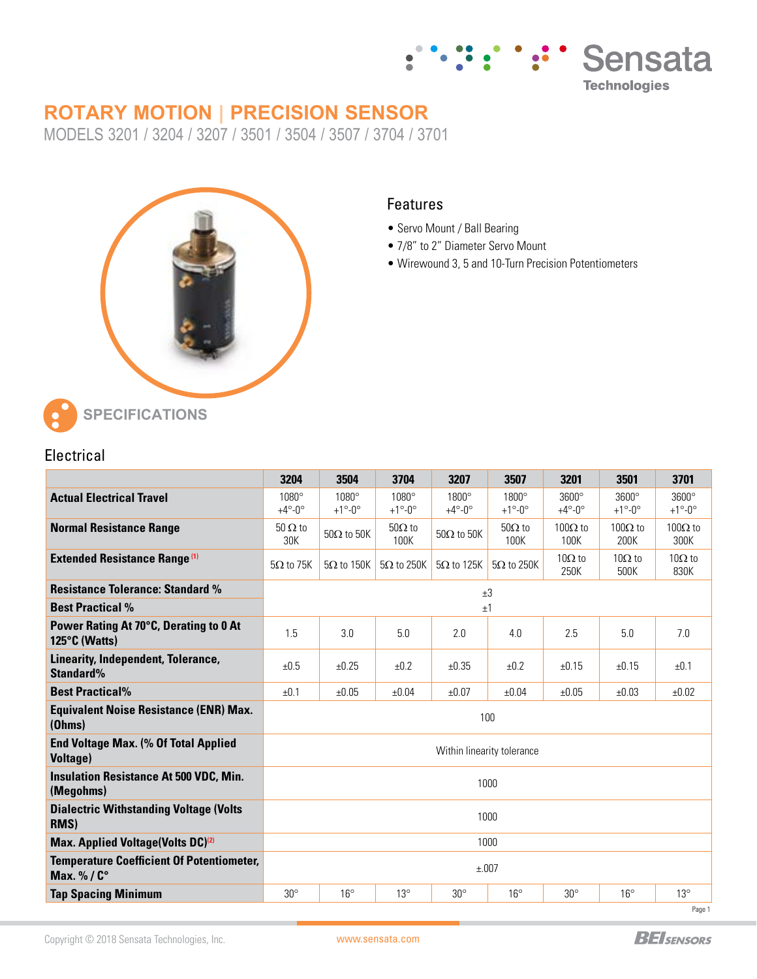

# **ROTARY MOTION | PRECISION SENSOR**

MODELS 3201 / 3204 / 3207 / 3501 / 3504 / 3507 / 3704 / 3701



#### Features

- Servo Mount / Ball Bearing
- 7/8" to 2" Diameter Servo Mount
- Wirewound 3, 5 and 10-Turn Precision Potentiometers

| Electrical |  |
|------------|--|

|                                                                | 3204                                 | 3504                                 | 3704                                 | 3207                                 | 3507                                 | 3201                                 | 3501                                 | 3701                                       |  |
|----------------------------------------------------------------|--------------------------------------|--------------------------------------|--------------------------------------|--------------------------------------|--------------------------------------|--------------------------------------|--------------------------------------|--------------------------------------------|--|
| <b>Actual Electrical Travel</b>                                | $1080^\circ$<br>$+4^\circ - 0^\circ$ | $1080^\circ$<br>$+1^\circ - 0^\circ$ | $1080^\circ$<br>$+1^\circ - 0^\circ$ | $1800^\circ$<br>$+4^\circ - 0^\circ$ | $1800^\circ$<br>$+1^\circ - 0^\circ$ | $3600^\circ$<br>$+4^\circ - 0^\circ$ | $3600^\circ$<br>$+1^\circ - 0^\circ$ | $3600^\circ$<br>$+1^{\circ}$ -0 $^{\circ}$ |  |
| <b>Normal Resistance Range</b>                                 | $50 \Omega$ to<br>30K                | $50\Omega$ to $50K$                  | $50\Omega$ to<br>100K                | $50\Omega$ to $50K$                  | $50\Omega$ to<br>100K                | $100Ω$ to<br>100K                    | $100\Omega$ to<br>200K               | $100Ω$ to<br>300K                          |  |
| <b>Extended Resistance Range (1)</b>                           | $5\Omega$ to 75K                     | $5\Omega$ to 150K                    | $5\Omega$ to 250K                    | $5\Omega$ to 125K                    | $5\Omega$ to 250K                    | $10\Omega$ to<br>250K                | $10\Omega$ to<br>500K                | $10\Omega$ to<br>830K                      |  |
| <b>Resistance Tolerance: Standard %</b>                        | ±3                                   |                                      |                                      |                                      |                                      |                                      |                                      |                                            |  |
| <b>Best Practical %</b>                                        | ±1                                   |                                      |                                      |                                      |                                      |                                      |                                      |                                            |  |
| Power Rating At 70°C, Derating to 0 At<br>125°C (Watts)        | 1.5                                  | 3.0                                  | 5.0                                  | 2.0                                  | 4.0                                  | 2.5                                  | 5.0                                  | 7.0                                        |  |
| Linearity, Independent, Tolerance,<br>Standard%                | ±0.5                                 | ±0.25                                | ±0.2                                 | ±0.35                                | $+0.2$                               | ±0.15                                | ±0.15                                | ±0.1                                       |  |
| <b>Best Practical%</b>                                         | $+0.1$                               | ±0.05                                | ±0.04                                | ±0.07                                | ±0.04                                | ±0.05                                | ±0.03                                | ±0.02                                      |  |
| <b>Equivalent Noise Resistance (ENR) Max.</b><br>(Ohms)        | 100                                  |                                      |                                      |                                      |                                      |                                      |                                      |                                            |  |
| <b>End Voltage Max. (% Of Total Applied</b><br><b>Voltage)</b> | Within linearity tolerance           |                                      |                                      |                                      |                                      |                                      |                                      |                                            |  |
| <b>Insulation Resistance At 500 VDC, Min.</b><br>(Megohms)     | 1000                                 |                                      |                                      |                                      |                                      |                                      |                                      |                                            |  |
| <b>Dialectric Withstanding Voltage (Volts</b><br>RMS)          | 1000                                 |                                      |                                      |                                      |                                      |                                      |                                      |                                            |  |
| Max. Applied Voltage(Volts DC) <sup>(2)</sup>                  | 1000                                 |                                      |                                      |                                      |                                      |                                      |                                      |                                            |  |
| <b>Temperature Coefficient Of Potentiometer,</b><br>Max. %/C°  | ±.007                                |                                      |                                      |                                      |                                      |                                      |                                      |                                            |  |
| <b>Tap Spacing Minimum</b>                                     | $30^\circ$                           | $16^{\circ}$                         | $13^\circ$                           | $30^\circ$                           | $16^{\circ}$                         | $30^\circ$                           | $16^{\circ}$                         | $13^\circ$                                 |  |
|                                                                | Page 1                               |                                      |                                      |                                      |                                      |                                      |                                      |                                            |  |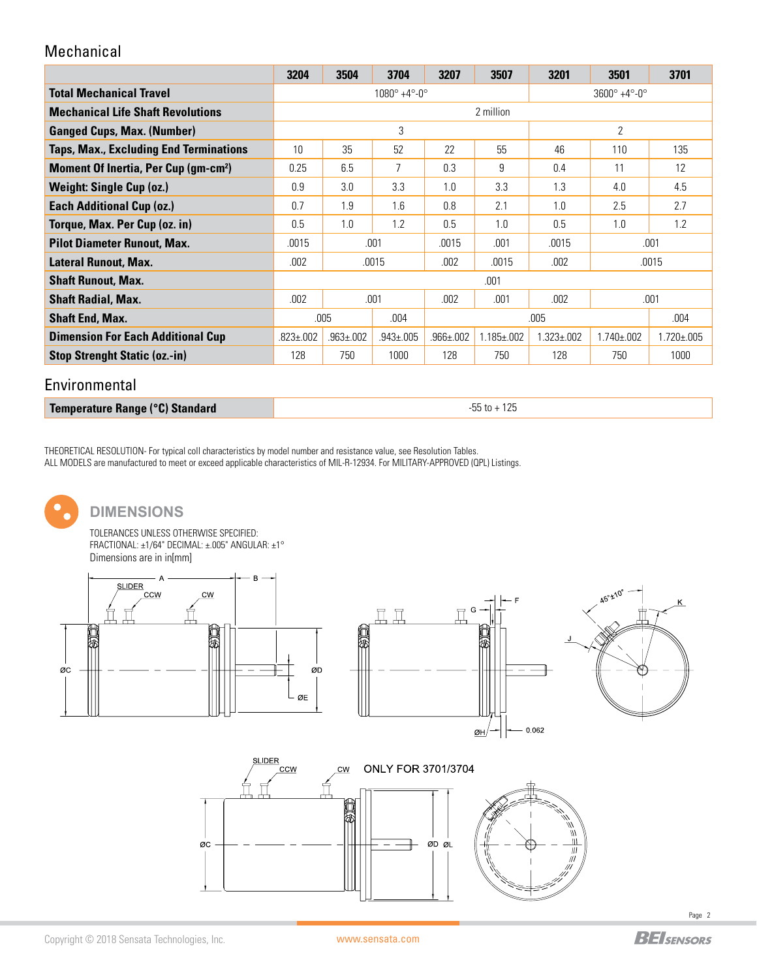### Mechanical

|                                                       | 3204                                       | 3504 | 3704           | 3207           | 3507                                   | 3201              | 3501              | 3701              |  |
|-------------------------------------------------------|--------------------------------------------|------|----------------|----------------|----------------------------------------|-------------------|-------------------|-------------------|--|
| <b>Total Mechanical Travel</b>                        | $1080^{\circ}$ +4 $^{\circ}$ -0 $^{\circ}$ |      |                |                | $3600^{\circ} + 4^{\circ} - 0^{\circ}$ |                   |                   |                   |  |
| <b>Mechanical Life Shaft Revolutions</b>              | 2 million                                  |      |                |                |                                        |                   |                   |                   |  |
| <b>Ganged Cups, Max. (Number)</b>                     | 3                                          |      |                |                | $\overline{2}$                         |                   |                   |                   |  |
| <b>Taps, Max., Excluding End Terminations</b>         | 10                                         | 35   | 52             | 22             | 55                                     | 46                | 110               | 135               |  |
| <b>Moment Of Inertia, Per Cup (gm-cm<sup>2</sup>)</b> | 0.25                                       | 6.5  | 7              | 0.3            | 9                                      | 0.4               | 11                | 12                |  |
| Weight: Single Cup (oz.)                              | 0.9                                        | 3.0  | 3.3            | 1.0            | 3.3                                    | 1.3               | 4.0               | 4.5               |  |
| <b>Each Additional Cup (oz.)</b>                      | 0.7                                        | 1.9  | 1.6            | 0.8            | 2.1                                    | 1.0               | 2.5               | 2.7               |  |
| Torque, Max. Per Cup (oz. in)                         | 0.5                                        | 1.0  | 1.2            | 0.5            | 1.0                                    | 0.5               | 1.0               | 1.2               |  |
| <b>Pilot Diameter Runout, Max.</b>                    | .0015<br>.001                              |      |                | .0015          | .001                                   | .0015             | .001              |                   |  |
| Lateral Runout, Max.                                  | .002<br>.0015                              |      |                | .002           | .0015                                  | .002              | .0015             |                   |  |
| <b>Shaft Runout, Max.</b>                             | .001                                       |      |                |                |                                        |                   |                   |                   |  |
| <b>Shaft Radial, Max.</b>                             | .002                                       | .001 |                | .002           | .001<br>.002                           |                   | .001              |                   |  |
| <b>Shaft End, Max.</b>                                | .005<br>.004                               |      |                |                |                                        | .005              |                   | .004              |  |
| <b>Dimension For Each Additional Cup</b>              | $.963 \pm 002$<br>$.823 \pm .002$          |      | $.943 \pm 005$ | $.966 \pm 002$ | $1.185 \pm 0.002$                      | $1.323 \pm 0.002$ | $1.740 \pm 0.002$ | $1.720 \pm 0.005$ |  |
| <b>Stop Strenght Static (oz.-in)</b>                  | 750<br>128                                 |      | 1000           | 128            | 750                                    | 128               | 750               | 1000              |  |
|                                                       |                                            |      |                |                |                                        |                   |                   |                   |  |

#### Environmental

**Temperature Range (°C) Standard Canadian Canadian Canadian Canadian Canadian Canadian Canadian Canadian Canadian Canadian Canadian Canadian Canadian Canadian Canadian Canadian Canadian Canadian Canadian Canadian Canadia** 

THEORETICAL RESOLUTION- For typical coll characteristics by model number and resistance value, see Resolution Tables. ALL MODELS are manufactured to meet or exceed applicable characteristics of MIL-R-12934. For MILITARY-APPROVED (QPL) Listings.



## **DIMENSIONS**

TOLERANCES UNLESS OTHERWISE SPECIFIED: FRACTIONAL: ±1/64" DECIMAL: ±.005" ANGULAR: ±1° Dimensions are in in[mm]









Page 2